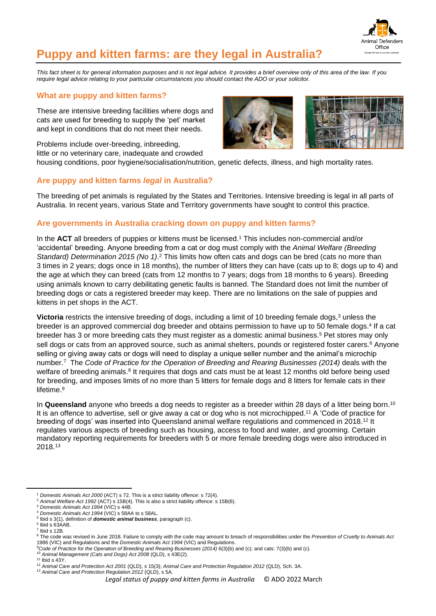

# **Puppy and kitten farms: are they legal in Australia?**

*This fact sheet is for general information purposes and is not legal advice. It provides a brief overview only of this area of the law. If you require legal advice relating to your particular circumstances you should contact the ADO or your solicitor.*

## **What are puppy and kitten farms?**

These are intensive breeding facilities where dogs and cats are used for breeding to supply the 'pet' market and kept in conditions that do not meet their needs.

Problems include over-breeding, inbreeding,



little or no veterinary care, inadequate and crowded housing conditions, poor hygiene/socialisation/nutrition, genetic defects, illness, and high mortality rates.

## **Are puppy and kitten farms** *legal* **in Australia?**

The breeding of pet animals is regulated by the States and Territories. Intensive breeding is legal in all parts of Australia. In recent years, various State and Territory governments have sought to control this practice.

# **Are governments in Australia cracking down on puppy and kitten farms?**

In the **ACT** all breeders of puppies or kittens must be licensed. <sup>1</sup> This includes non-commercial and/or 'accidental' breeding. Anyone breeding from a cat or dog must comply with the *Animal Welfare (Breeding*  Standard) Determination 2015 (No 1).<sup>2</sup> This limits how often cats and dogs can be bred (cats no more than 3 times in 2 years; dogs once in 18 months), the number of litters they can have (cats up to 8; dogs up to 4) and the age at which they can breed (cats from 12 months to 7 years; dogs from 18 months to 6 years). Breeding using animals known to carry debilitating genetic faults is banned. The Standard does not limit the number of breeding dogs or cats a registered breeder may keep. There are no limitations on the sale of puppies and kittens in pet shops in the ACT.

**Victoria** restricts the intensive breeding of dogs, including a limit of 10 breeding female dogs, <sup>3</sup> unless the breeder is an approved commercial dog breeder and obtains permission to have up to 50 female dogs.<sup>4</sup> If a cat breeder has 3 or more breeding cats they must register as a domestic animal business.<sup>5</sup> Pet stores may only sell dogs or cats from an approved source, such as animal shelters, pounds or registered foster carers.<sup>6</sup> Anyone selling or giving away cats or dogs will need to display a unique seller number and the animal's microchip number. <sup>7</sup> The *Code of Practice for the Operation of Breeding and Rearing Businesses (2014)* deals with the welfare of breeding animals.<sup>8</sup> It requires that dogs and cats must be at least 12 months old before being used for breeding, and imposes limits of no more than 5 litters for female dogs and 8 litters for female cats in their lifetime. 9

In **Queensland** anyone who breeds a dog needs to register as a breeder within 28 days of a litter being born.<sup>10</sup> It is an offence to advertise, sell or give away a cat or dog who is not microchipped. <sup>11</sup> A 'Code of practice for breeding of dogs' was inserted into Queensland animal welfare regulations and commenced in 2018.<sup>12</sup> It regulates various aspects of breeding such as housing, access to food and water, and grooming. Certain mandatory reporting requirements for breeders with 5 or more female breeding dogs were also introduced in 2018.<sup>13</sup>

<sup>1</sup> *Domestic Animals Act 2000* (ACT) s 72. This is a strict liability offence: s 72(4).

<sup>2</sup> *Animal Welfare Act 1992* (ACT) s 15B(4). This is also a strict liability offence: s 15B(6).

<sup>3</sup> *Domestic Animals Act 1994* (VIC) s 44B.

<sup>4</sup> *Domestic Animals Act 1994* (VIC) s 58AA to s 58AL.

<sup>5</sup> Ibid s 3(1), definition of *domestic animal business*, paragraph (c).

<sup>6</sup> Ibid s 63AAB.

 $<sup>7</sup>$  Ibid s 12B.</sup>

<sup>&</sup>lt;sup>8</sup> The code was revised in June 2018. Failure to comply with the code may amount to breach of responsibilities under the *Prevention of Cruelty to Animals Act* 1986 (VIC) and Regulations and the *Domestic Animals Act 1994* (VIC) and Regulations.

<sup>9</sup>*Code of Practice for the Operation of Breeding and Rearing Businesses (2014)* 6(3)(b) and (c); and cats: 7(3)(b) and (c).

<sup>10</sup> *Animal Management (Cats and Dogs) Act 2008* (QLD), s 43E(2).

<sup>11</sup> Ibid s 43Y.

<sup>12</sup> *Animal Care and Protection Act 2001* (QLD), s 15(3); *Animal Care and Protection Regulation 2012* (QLD), Sch. 3A.

<sup>13</sup> *Animal Care and Protection Regulation 2012* (QLD), s 5A.